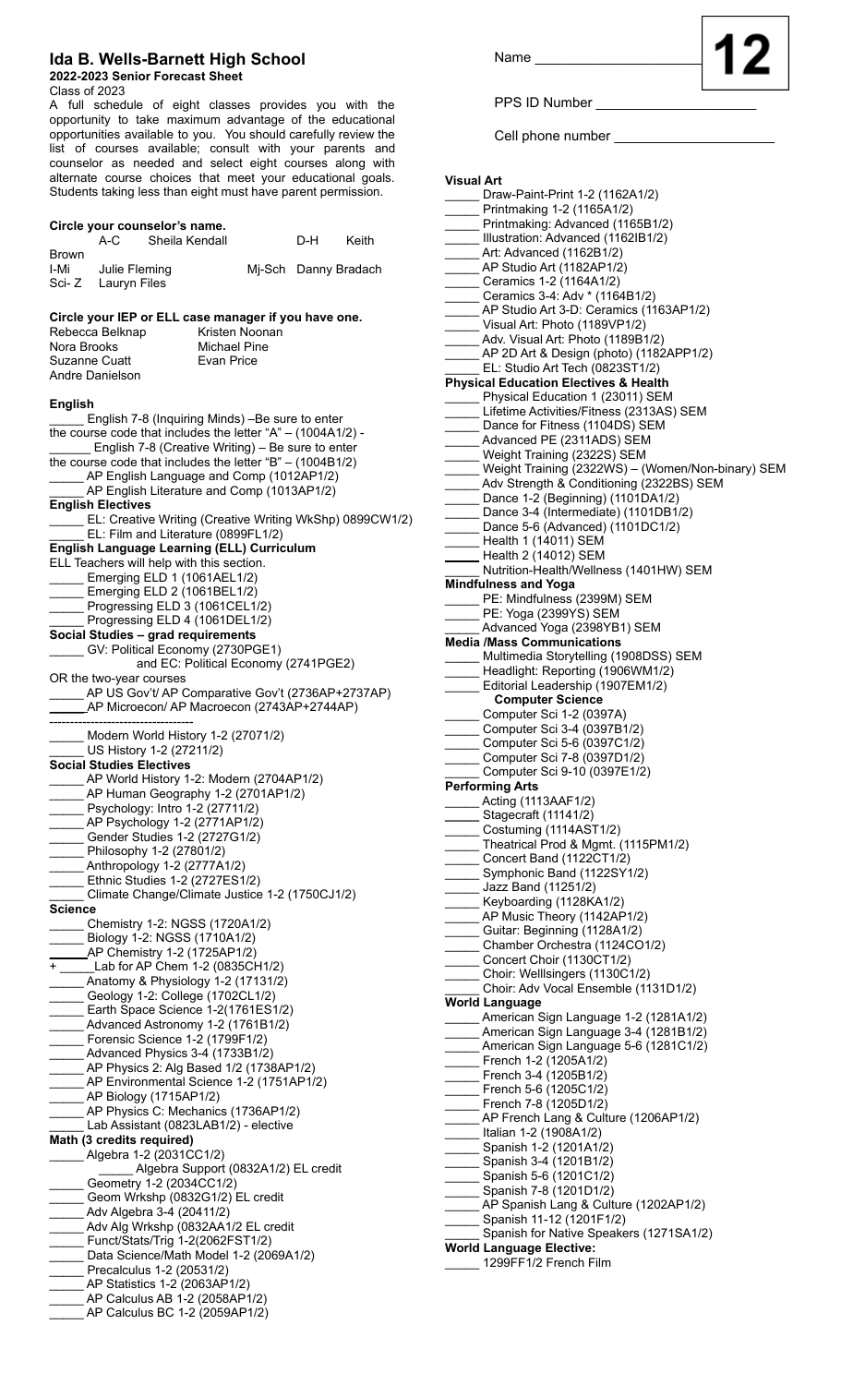## **Ida B. Wells-Barnett High School**

## **2022-2023 Senior Forecast Sheet**

**Circle your counselor's name.**

Class of 2023

A full schedule of eight classes provides you with the opportunity to take maximum advantage of the educational opportunities available to you. You should carefully review the list of courses available; consult with your parents and counselor as needed and select eight courses along with alternate course choices that meet your educational goals. Students taking less than eight must have parent permission.

|                | A-C                                                                    | Sheila Kendall                       |                |                      | D-H | Keith                                                          |
|----------------|------------------------------------------------------------------------|--------------------------------------|----------------|----------------------|-----|----------------------------------------------------------------|
| <b>Brown</b>   |                                                                        |                                      |                |                      |     |                                                                |
|                | I-Mi Julie Fleming                                                     |                                      |                | Mj-Sch Danny Bradach |     |                                                                |
|                | Sci-Z Lauryn Files                                                     |                                      |                |                      |     |                                                                |
|                |                                                                        |                                      |                |                      |     |                                                                |
|                | Circle your IEP or ELL case manager if you have one.                   |                                      |                |                      |     |                                                                |
|                | Rebecca Belknap                                                        |                                      | Kristen Noonan |                      |     |                                                                |
| Nora Brooks    |                                                                        |                                      | Michael Pine   |                      |     |                                                                |
|                | Suzanne Cuatt                                                          |                                      | Evan Price     |                      |     |                                                                |
|                | Andre Danielson                                                        |                                      |                |                      |     |                                                                |
|                |                                                                        |                                      |                |                      |     |                                                                |
| <b>English</b> |                                                                        |                                      |                |                      |     |                                                                |
|                | English 7-8 (Inquiring Minds) -Be sure to enter                        |                                      |                |                      |     |                                                                |
|                | the course code that includes the letter " $A$ " - (1004A1/2) -        |                                      |                |                      |     |                                                                |
|                | English 7-8 (Creative Writing) - Be sure to enter                      |                                      |                |                      |     |                                                                |
|                | the course code that includes the letter "B" $-$ (1004B1/2)            |                                      |                |                      |     |                                                                |
|                | _AP English Language and Comp (1012AP1/2)                              |                                      |                |                      |     |                                                                |
|                | AP English Literature and Comp (1013AP1/2)<br><b>English Electives</b> |                                      |                |                      |     |                                                                |
|                |                                                                        |                                      |                |                      |     | _____ EL: Creative Writing (Creative Writing WkShp) 0899CW1/2) |
|                | EL: Film and Literature (0899FL1/2)                                    |                                      |                |                      |     |                                                                |
|                | English Language Learning (ELL) Curriculum                             |                                      |                |                      |     |                                                                |
|                | ELL Teachers will help with this section.                              |                                      |                |                      |     |                                                                |
|                | Emerging ELD 1 (1061AEL1/2)                                            |                                      |                |                      |     |                                                                |
|                | Emerging ELD 2 (1061BEL1/2)                                            |                                      |                |                      |     |                                                                |
|                |                                                                        |                                      |                |                      |     |                                                                |
|                | Progressing ELD 3 (1061CEL1/2)<br>Progressing ELD 4 (1061DEL1/2)       |                                      |                |                      |     |                                                                |
|                | Social Studies - grad requirements                                     |                                      |                |                      |     |                                                                |
|                | GV: Political Economy (2730PGE1)                                       |                                      |                |                      |     |                                                                |
|                |                                                                        | and EC: Political Economy (2741PGE2) |                |                      |     |                                                                |
|                | OR the two-year courses                                                |                                      |                |                      |     |                                                                |
|                | ______ AP US Gov't/ AP Comparative Gov't (2736AP+2737AP)               |                                      |                |                      |     |                                                                |
|                | _____AP Microecon/ AP Macroecon (2743AP+2744AP)                        |                                      |                |                      |     |                                                                |
|                |                                                                        |                                      |                |                      |     |                                                                |
|                | Modern World History 1-2 (27071/2)                                     |                                      |                |                      |     |                                                                |
|                | US History 1-2 (27211/2)                                               |                                      |                |                      |     |                                                                |
|                | <b>Social Studies Electives</b>                                        |                                      |                |                      |     |                                                                |
|                | _AP World History 1-2: Modern (2704AP1/2)                              |                                      |                |                      |     |                                                                |
|                | AP Human Geography 1-2 (2701AP1/2)                                     |                                      |                |                      |     |                                                                |
|                | Psychology: Intro 1-2 (27711/2)                                        |                                      |                |                      |     |                                                                |
|                | _AP Psychology 1-2 (2771AP1/2)                                         |                                      |                |                      |     |                                                                |
|                | Gender Studies 1-2 (2727G1/2)                                          |                                      |                |                      |     |                                                                |
|                | Philosophy 1-2 (27801/2)                                               |                                      |                |                      |     |                                                                |
|                | Anthropology 1-2 (2777A1/2)                                            |                                      |                |                      |     |                                                                |
|                | Ethnic Studies 1-2 (2727ES1/2)                                         |                                      |                |                      |     |                                                                |
|                | Climate Change/Climate Justice 1-2 (1750CJ1/2)                         |                                      |                |                      |     |                                                                |
| Science        |                                                                        |                                      |                |                      |     |                                                                |
|                | Chemistry 1-2: NGSS (1720A1/2)<br>Biology 1-2: NGSS (1710A1/2)         |                                      |                |                      |     |                                                                |
|                | $\_\$ {AP} Chemistry 1-2 (1725AP1/2)                                   |                                      |                |                      |     |                                                                |
|                | + ______Lab for AP Chem 1-2 (0835CH1/2)                                |                                      |                |                      |     |                                                                |
|                | $\_$ Anatomy & Physiology 1-2 (17131/2)                                |                                      |                |                      |     |                                                                |
|                | Geology 1-2: College (1702CL1/2)                                       |                                      |                |                      |     |                                                                |
|                | Earth Space Science 1-2(1761ES1/2)                                     |                                      |                |                      |     |                                                                |
|                | _Advanced Astronomy 1-2 (1761B1/2)                                     |                                      |                |                      |     |                                                                |
|                | Forensic Science 1-2 (1799F1/2)                                        |                                      |                |                      |     |                                                                |
|                | _Advanced Physics 3-4 (1733B1/2)                                       |                                      |                |                      |     |                                                                |
|                | _AP Physics 2: Alg Based 1/2 (1738AP1/2)                               |                                      |                |                      |     |                                                                |
|                | _AP Environmental Science 1-2 (1751AP1/2)                              |                                      |                |                      |     |                                                                |
|                | __ AP Biology (1715AP1/2)                                              |                                      |                |                      |     |                                                                |
|                | _AP Physics C: Mechanics (1736AP1/2)                                   |                                      |                |                      |     |                                                                |
|                | Lab Assistant (0823LAB1/2) - elective                                  |                                      |                |                      |     |                                                                |
|                | Math (3 credits required)                                              |                                      |                |                      |     |                                                                |
|                | Algebra 1-2 (2031CC1/2)                                                |                                      |                |                      |     |                                                                |
|                |                                                                        | Algebra Support (0832A1/2) EL credit |                |                      |     |                                                                |
|                | Geometry 1-2 (2034CC1/2)                                               |                                      |                |                      |     |                                                                |
|                | Geom Wrkshp (0832G1/2) EL credit                                       |                                      |                |                      |     |                                                                |
|                | ____ Adv Algebra 3-4 (20411/2)                                         |                                      |                |                      |     |                                                                |
|                | _Adv Alg Wrkshp (0832AA1/2 EL credit                                   |                                      |                |                      |     |                                                                |
|                | _ Funct/Stats/Trig 1-2(2062FST1/2)                                     |                                      |                |                      |     |                                                                |
|                | Data Science/Math Model 1-2 (2069A1/2)                                 |                                      |                |                      |     |                                                                |
|                | Precalculus 1-2 (20531/2)                                              |                                      |                |                      |     |                                                                |
|                | _AP Statistics 1-2 (2063AP1/2)                                         |                                      |                |                      |     |                                                                |
|                | _AP Calculus AB 1-2 (2058AP1/2)                                        |                                      |                |                      |     |                                                                |
|                | AP Calculus BC 1-2 (2059AP1/2)                                         |                                      |                |                      |     |                                                                |

Name

PPS ID Number

Cell phone number \_

**Visual Art** \_\_\_\_\_ Draw-Paint-Print 1-2 (1162A1/2) \_\_\_\_\_ Printmaking 1-2 (1165A1/2) Printmaking: Advanced (1165B1/2) Illustration: Advanced (1162IB1/2) Art: Advanced (1162B1/2) AP Studio Art (1182AP1/2) \_\_\_\_\_ Ceramics 1-2 (1164A1/2) \_\_\_\_\_ Ceramics 3-4: Adv \* (1164B1/2) \_\_\_\_\_ AP Studio Art 3-D: Ceramics (1163AP1/2) \_\_\_\_\_ Visual Art: Photo (1189VP1/2) Adv. Visual Art: Photo (1189B1/2) AP 2D Art & Design (photo) (1182APP1/2) EL: Studio Art Tech (0823ST1/2) **Physical Education Electives & Health** Physical Education 1 (23011) SEM Lifetime Activities/Fitness (2313AS) SEM Dance for Fitness (1104DS) SEM Advanced PE (2311ADS) SEM Weight Training (2322S) SEM Weight Training (2322WS) – (Women/Non-binary) SEM Adv Strength & Conditioning (2322BS) SEM Dance 1-2 (Beginning) (1101DA1/2) Dance 3-4 (Intermediate) (1101DB1/2) Dance 5-6 (Advanced) (1101DC1/2) Health 1 (14011) SEM Health 2 (14012) SEM Nutrition-Health/Wellness (1401HW) SEM **Mindfulness and Yoga** PE: Mindfulness (2399M) SEM PE: Yoga (2399YS) SEM Advanced Yoga (2398YB1) SEM **Media /Mass Communications** Multimedia Storytelling (1908DSS) SEM Headlight: Reporting (1906WM1/2) \_\_\_\_\_ Editorial Leadership (1907EM1/2) **Computer Science** Computer Sci 1-2 (0397A) \_\_\_\_\_ Computer Sci 3-4 (0397B1/2) \_\_\_\_\_ Computer Sci 5-6 (0397C1/2) \_\_\_\_\_ Computer Sci 7-8 (0397D1/2) \_\_\_\_\_ Computer Sci 9-10 (0397E1/2) **Performing Arts** \_\_\_\_\_ Acting (1113AAF1/2) **\_\_\_\_\_** Stagecraft (11141/2) Costuming (1114AST1/2) \_\_\_\_\_ Theatrical Prod & Mgmt. (1115PM1/2) Concert Band (1122CT1/2) Symphonic Band (1122SY1/2) \_\_\_\_\_ Jazz Band (11251/2) Keyboarding (1128KA1/2) AP Music Theory (1142AP1/2) Guitar: Beginning (1128A1/2) \_\_\_\_\_ Chamber Orchestra (1124CO1/2) Concert Choir (1130CT1/2) \_\_\_\_\_ Choir: Welllsingers (1130C1/2) Choir: Adv Vocal Ensemble (1131D1/2) **World Language** American Sign Language 1-2 (1281A1/2) American Sign Language 3-4 (1281B1/2) American Sign Language 5-6 (1281C1/2) French 1-2 (1205A1/2) French 3-4 (1205B1/2) French 5-6 (1205C1/2) French 7-8 (1205D1/2) AP French Lang & Culture (1206AP1/2) \_\_\_\_\_ Italian 1-2 (1908A1/2) \_\_\_\_\_ Spanish 1-2 (1201A1/2) \_\_\_\_\_ Spanish 3-4 (1201B1/2) \_\_\_\_\_ Spanish 5-6 (1201C1/2) \_\_\_\_\_ Spanish 7-8 (1201D1/2) AP Spanish Lang & Culture (1202AP1/2) \_\_\_\_\_ Spanish 11-12 (1201F1/2) Spanish for Native Speakers (1271SA1/2) **World Language Elective:** \_ 1299FF1/2 French Film